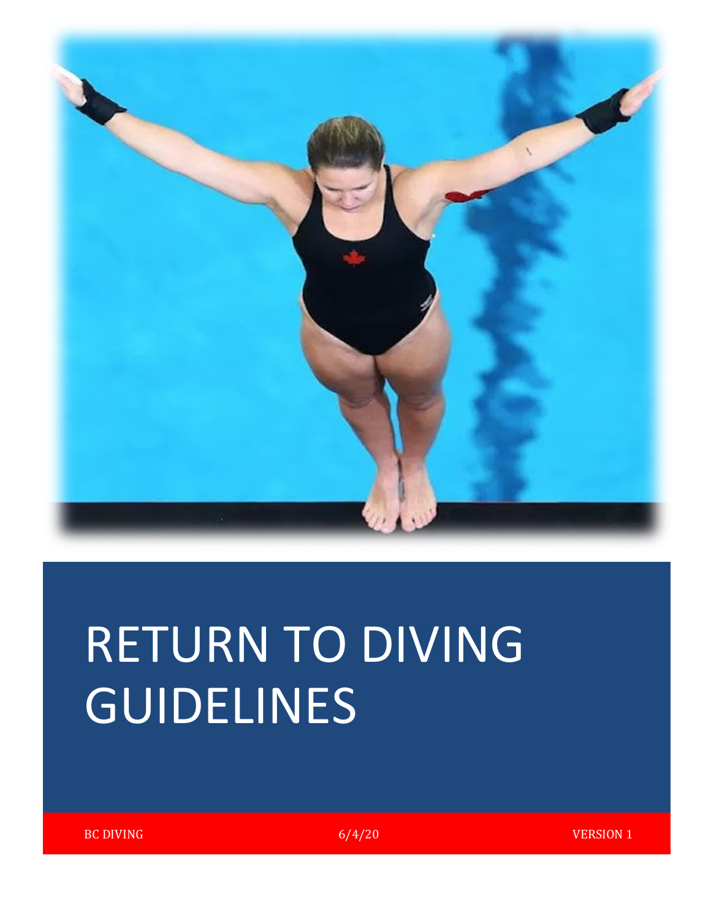

# RETURN TO DIVING GUIDELINES

BC DIVING  $6/4/20$  VERSION 1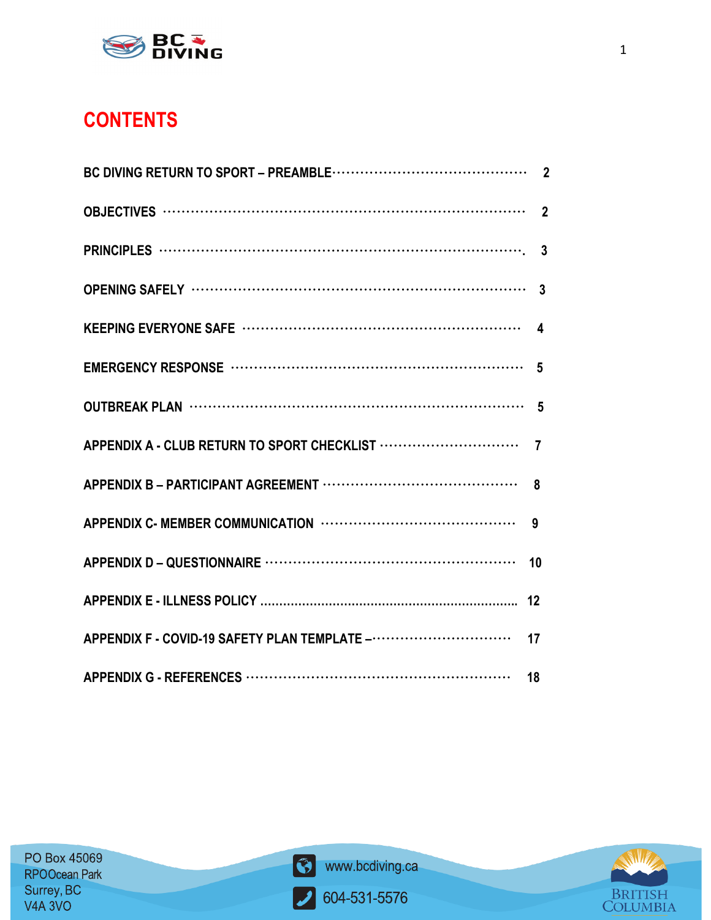

### **CONTENTS**

|                                                                            | $\overline{7}$ |
|----------------------------------------------------------------------------|----------------|
|                                                                            |                |
|                                                                            | 9              |
|                                                                            | 10             |
|                                                                            | 12             |
| APPENDIX F - COVID-19 SAFETY PLAN TEMPLATE ------------------------------- | 17             |
|                                                                            |                |



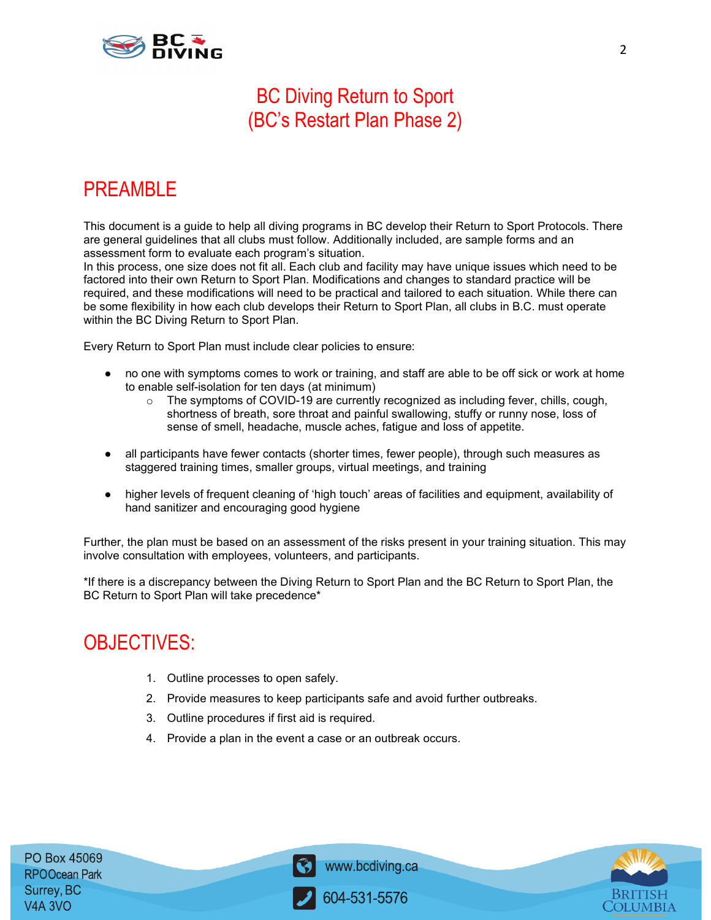

### BC Diving Return to Sport (BC's Restart Plan Phase 2)

### PREAMBLE

This document is a guide to help all diving programs in BC develop their Return to Sport Protocols. There are general guidelines that all clubs must follow. Additionally included, are sample forms and an assessment form to evaluate each program's situation.

In this process, one size does not fit all. Each club and facility may have unique issues which need to be factored into their own Return to Sport Plan. Modifications and changes to standard practice will be required, and these modifications will need to be practical and tailored to each situation. While there can be some flexibility in how each club develops their Return to Sport Plan, all clubs in B.C. must operate within the BC Diving Return to Sport Plan.

Every Return to Sport Plan must include clear policies to ensure:

- no one with symptoms comes to work or training, and staff are able to be off sick or work at home to enable self-isolation for ten days (at minimum)
	- $\circ$  The symptoms of COVID-19 are currently recognized as including fever, chills, cough, shortness of breath, sore throat and painful swallowing, stuffy or runny nose, loss of sense of smell, headache, muscle aches, fatigue and loss of appetite.
- all participants have fewer contacts (shorter times, fewer people), through such measures as staggered training times, smaller groups, virtual meetings, and training
- higher levels of frequent cleaning of 'high touch' areas of facilities and equipment, availability of hand sanitizer and encouraging good hygiene

Further, the plan must be based on an assessment of the risks present in your training situation. This may involve consultation with employees, volunteers, and participants.

\*If there is a discrepancy between the Diving Return to Sport Plan and the BC Return to Sport Plan, the BC Return to Sport Plan will take precedence\*

### OBJECTIVES:

- 1. Outline processes to open safely.
- 2. Provide measures to keep participants safe and avoid further outbreaks.
- 3. Outline procedures if first aid is required.
- 4. Provide a plan in the event a case or an outbreak occurs.

PO Box 45069 **RPOOcean Park** Surrey, BC **V4A 3VO** 



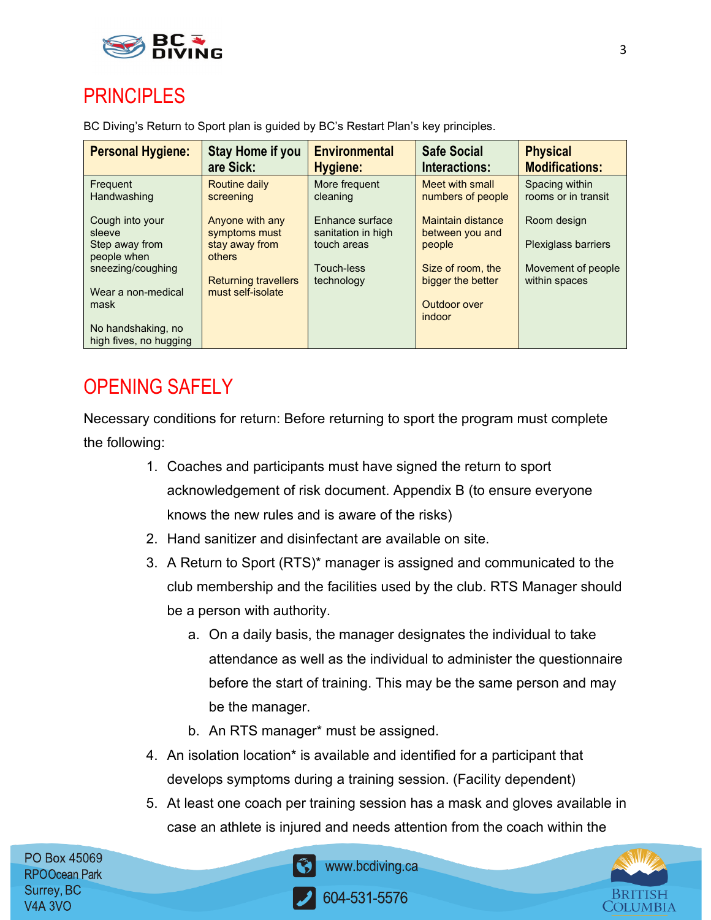

### **PRINCIPLES**

BC Diving's Return to Sport plan is guided by BC's Restart Plan's key principles.

| <b>Personal Hygiene:</b>                     | Stay Home if you<br>are Sick:    | <b>Environmental</b><br>Hygiene:      | <b>Safe Social</b><br><b>Interactions:</b> | <b>Physical</b><br><b>Modifications:</b> |
|----------------------------------------------|----------------------------------|---------------------------------------|--------------------------------------------|------------------------------------------|
| Frequent<br>Handwashing                      | Routine daily<br>screening       | More frequent<br>cleaning             | Meet with small<br>numbers of people       | Spacing within<br>rooms or in transit    |
| Cough into your<br>sleeve                    | Anyone with any<br>symptoms must | Enhance surface<br>sanitation in high | Maintain distance<br>between you and       | Room design                              |
| Step away from<br>people when                | stay away from<br>others         | touch areas                           | people                                     | <b>Plexiglass barriers</b>               |
| sneezing/coughing                            | <b>Returning travellers</b>      | Touch-less<br>technology              | Size of room, the<br>bigger the better     | Movement of people<br>within spaces      |
| Wear a non-medical                           | must self-isolate                |                                       |                                            |                                          |
| mask                                         |                                  |                                       | Outdoor over<br><i>indoor</i>              |                                          |
| No handshaking, no<br>high fives, no hugging |                                  |                                       |                                            |                                          |

### OPENING SAFELY

Necessary conditions for return: Before returning to sport the program must complete the following:

- 1. Coaches and participants must have signed the return to sport acknowledgement of risk document. Appendix B (to ensure everyone knows the new rules and is aware of the risks)
- 2. Hand sanitizer and disinfectant are available on site.
- 3. A Return to Sport (RTS)\* manager is assigned and communicated to the club membership and the facilities used by the club. RTS Manager should be a person with authority.
	- a. On a daily basis, the manager designates the individual to take attendance as well as the individual to administer the questionnaire before the start of training. This may be the same person and may be the manager.
	- b. An RTS manager\* must be assigned.
- 4. An isolation location\* is available and identified for a participant that develops symptoms during a training session. (Facility dependent)
- 5. At least one coach per training session has a mask and gloves available in case an athlete is injured and needs attention from the coach within the

PO Box 45069 **RPOOcean Park** Surrey, BC **V4A 3VO** 



www.bcdiving.ca

604-531-5576

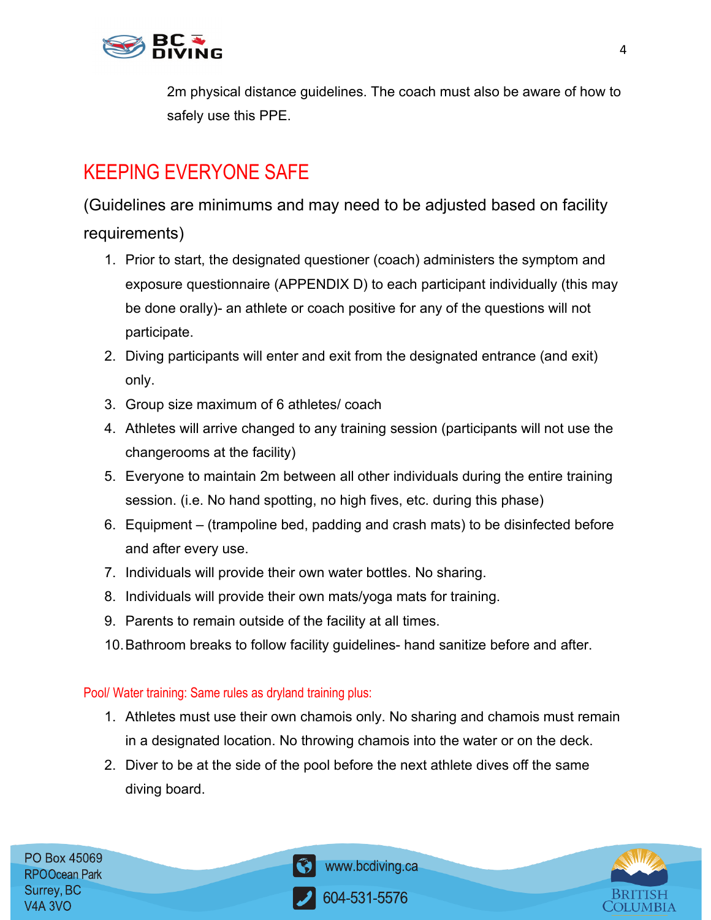

2m physical distance guidelines. The coach must also be aware of how to safely use this PPE.

### KEEPING EVERYONE SAFE

(Guidelines are minimums and may need to be adjusted based on facility requirements)

- 1. Prior to start, the designated questioner (coach) administers the symptom and exposure questionnaire (APPENDIX D) to each participant individually (this may be done orally)- an athlete or coach positive for any of the questions will not participate.
- 2. Diving participants will enter and exit from the designated entrance (and exit) only.
- 3. Group size maximum of 6 athletes/ coach
- 4. Athletes will arrive changed to any training session (participants will not use the changerooms at the facility)
- 5. Everyone to maintain 2m between all other individuals during the entire training session. (i.e. No hand spotting, no high fives, etc. during this phase)
- 6. Equipment (trampoline bed, padding and crash mats) to be disinfected before and after every use.
- 7. Individuals will provide their own water bottles. No sharing.
- 8. Individuals will provide their own mats/yoga mats for training.
- 9. Parents to remain outside of the facility at all times.
- 10.Bathroom breaks to follow facility guidelines- hand sanitize before and after.

### Pool/ Water training: Same rules as dryland training plus:

- 1. Athletes must use their own chamois only. No sharing and chamois must remain in a designated location. No throwing chamois into the water or on the deck.
- 2. Diver to be at the side of the pool before the next athlete dives off the same diving board.

PO Box 45069 **RPOOcean Park** Surrey, BC **V4A 3VO** 



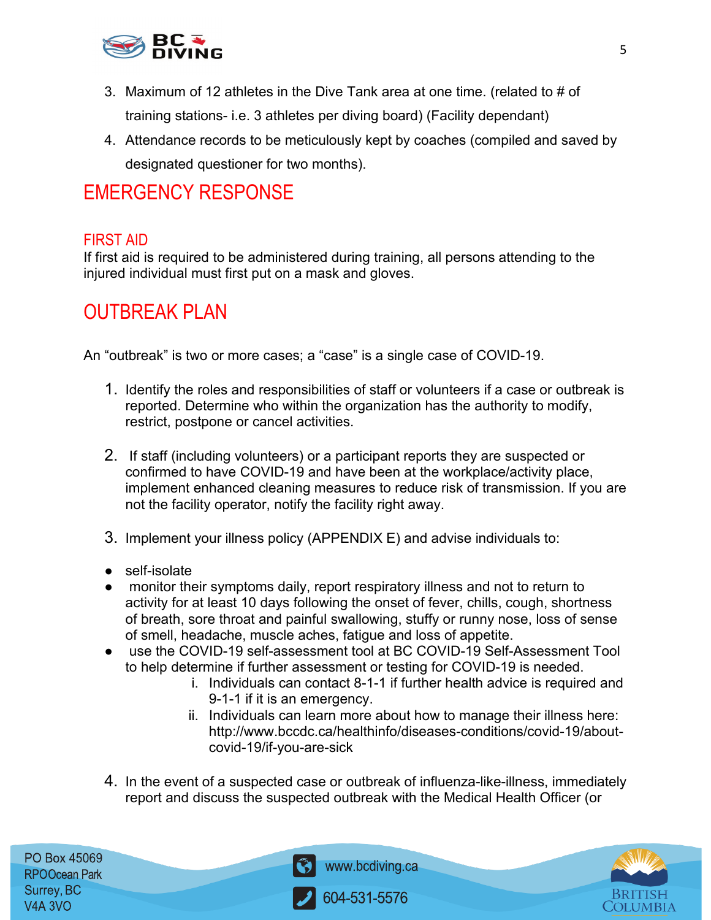

- 3. Maximum of 12 athletes in the Dive Tank area at one time. (related to # of training stations- i.e. 3 athletes per diving board) (Facility dependant)
- 4. Attendance records to be meticulously kept by coaches (compiled and saved by designated questioner for two months).

### EMERGENCY RESPONSE

### FIRST AID

If first aid is required to be administered during training, all persons attending to the injured individual must first put on a mask and gloves.

### OUTBREAK PLAN

An "outbreak" is two or more cases; a "case" is a single case of COVID-19.

- 1. Identify the roles and responsibilities of staff or volunteers if a case or outbreak is reported. Determine who within the organization has the authority to modify, restrict, postpone or cancel activities.
- 2. If staff (including volunteers) or a participant reports they are suspected or confirmed to have COVID-19 and have been at the workplace/activity place, implement enhanced cleaning measures to reduce risk of transmission. If you are not the facility operator, notify the facility right away.
- 3. Implement your illness policy (APPENDIX E) and advise individuals to:
- self-isolate
- monitor their symptoms daily, report respiratory illness and not to return to activity for at least 10 days following the onset of fever, chills, cough, shortness of breath, sore throat and painful swallowing, stuffy or runny nose, loss of sense of smell, headache, muscle aches, fatigue and loss of appetite.
- use the COVID-19 self-assessment tool at BC COVID-19 Self-Assessment Tool to help determine if further assessment or testing for COVID-19 is needed.
	- i. Individuals can contact 8-1-1 if further health advice is required and 9-1-1 if it is an emergency.
	- ii. Individuals can learn more about how to manage their illness here: http://www.bccdc.ca/healthinfo/diseases-conditions/covid-19/aboutcovid-19/if-you-are-sick
- 4. In the event of a suspected case or outbreak of influenza-like-illness, immediately report and discuss the suspected outbreak with the Medical Health Officer (or

PO Box 45069 **RPOOcean Park** Surrey, BC V4A 3VO



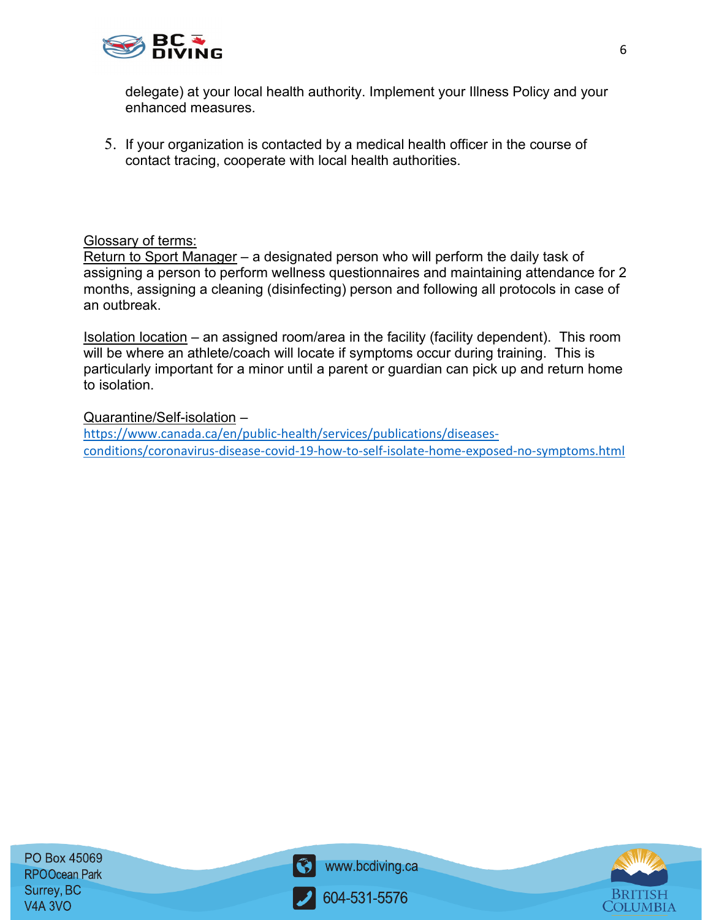

delegate) at your local health authority. Implement your Illness Policy and your enhanced measures.

5. If your organization is contacted by a medical health officer in the course of contact tracing, cooperate with local health authorities.

### Glossary of terms:

Return to Sport Manager – a designated person who will perform the daily task of assigning a person to perform wellness questionnaires and maintaining attendance for 2 months, assigning a cleaning (disinfecting) person and following all protocols in case of an outbreak.

Isolation location – an assigned room/area in the facility (facility dependent). This room will be where an athlete/coach will locate if symptoms occur during training. This is particularly important for a minor until a parent or guardian can pick up and return home to isolation.

Quarantine/Self-isolation –

[https://www.canada.ca/en/public-health/services/publications/diseases](https://www.canada.ca/en/public-health/services/publications/diseases-conditions/coronavirus-disease-covid-19-how-to-self-isolate-home-exposed-no-symptoms.html)[conditions/coronavirus-disease-covid-19-how-to-self-isolate-home-exposed-no-symptoms.html](https://www.canada.ca/en/public-health/services/publications/diseases-conditions/coronavirus-disease-covid-19-how-to-self-isolate-home-exposed-no-symptoms.html)



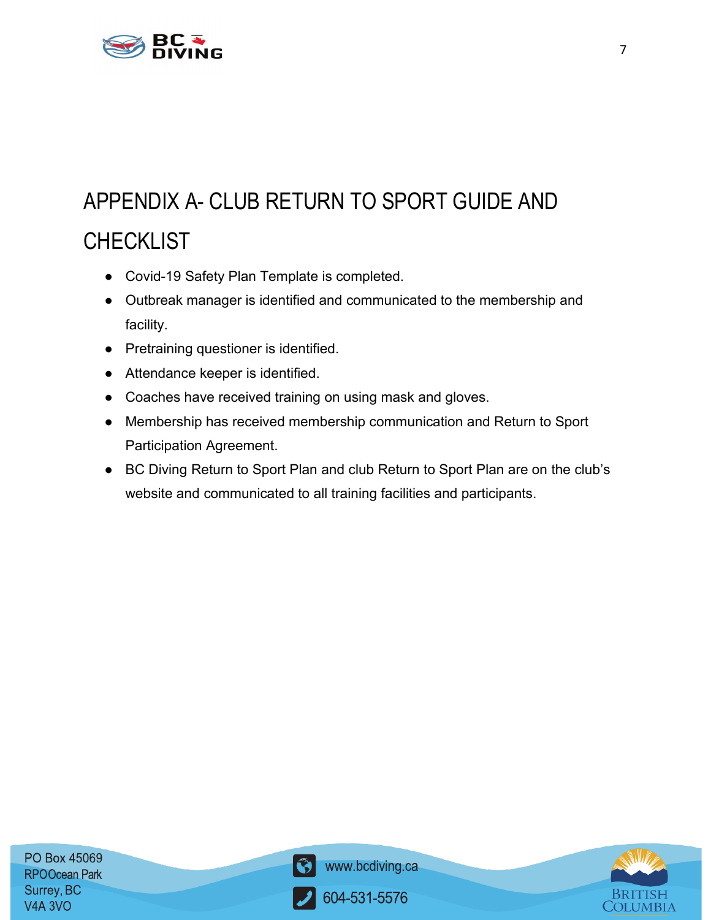

## APPENDIX A- CLUB RETURN TO SPORT GUIDE AND **CHECKLIST**

- Covid-19 Safety Plan Template is completed.
- Outbreak manager is identified and communicated to the membership and facility.
- Pretraining questioner is identified.
- Attendance keeper is identified.
- Coaches have received training on using mask and gloves.
- Membership has received membership communication and Return to Sport Participation Agreement.
- BC Diving Return to Sport Plan and club Return to Sport Plan are on the club's website and communicated to all training facilities and participants.



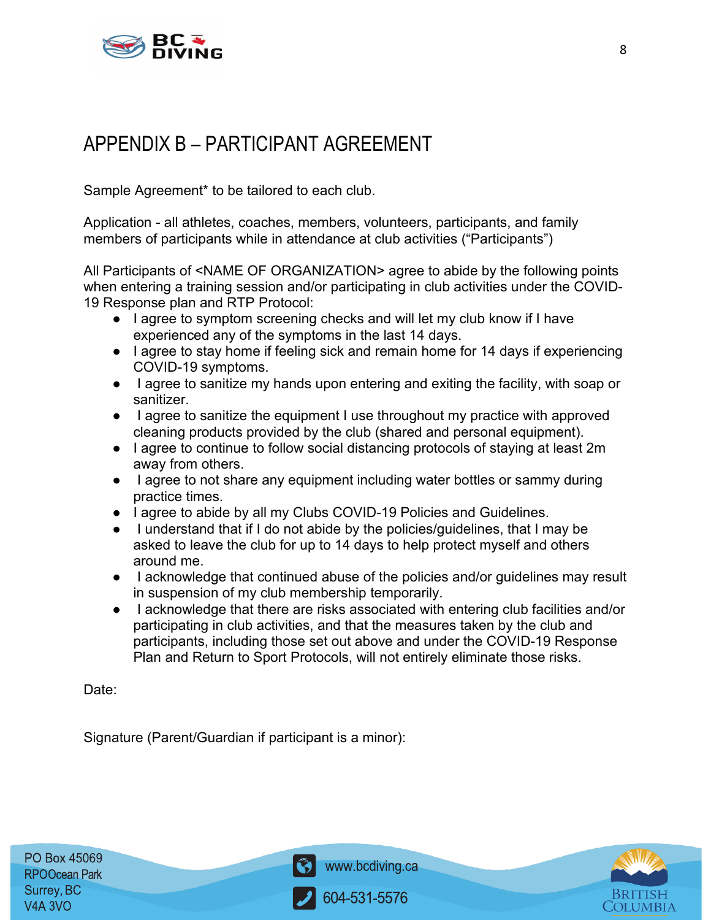

### APPENDIX B – PARTICIPANT AGREEMENT

Sample Agreement\* to be tailored to each club.

Application - all athletes, coaches, members, volunteers, participants, and family members of participants while in attendance at club activities ("Participants")

All Participants of <NAME OF ORGANIZATION> agree to abide by the following points when entering a training session and/or participating in club activities under the COVID-19 Response plan and RTP Protocol:

- I agree to symptom screening checks and will let my club know if I have experienced any of the symptoms in the last 14 days.
- I agree to stay home if feeling sick and remain home for 14 days if experiencing COVID-19 symptoms.
- I agree to sanitize my hands upon entering and exiting the facility, with soap or sanitizer.
- I agree to sanitize the equipment I use throughout my practice with approved cleaning products provided by the club (shared and personal equipment).
- I agree to continue to follow social distancing protocols of staying at least 2m away from others.
- I agree to not share any equipment including water bottles or sammy during practice times.
- I agree to abide by all my Clubs COVID-19 Policies and Guidelines.
- I understand that if I do not abide by the policies/guidelines, that I may be asked to leave the club for up to 14 days to help protect myself and others around me.
- I acknowledge that continued abuse of the policies and/or guidelines may result in suspension of my club membership temporarily.
- I acknowledge that there are risks associated with entering club facilities and/or participating in club activities, and that the measures taken by the club and participants, including those set out above and under the COVID-19 Response Plan and Return to Sport Protocols, will not entirely eliminate those risks.

Date:

Signature (Parent/Guardian if participant is a minor):



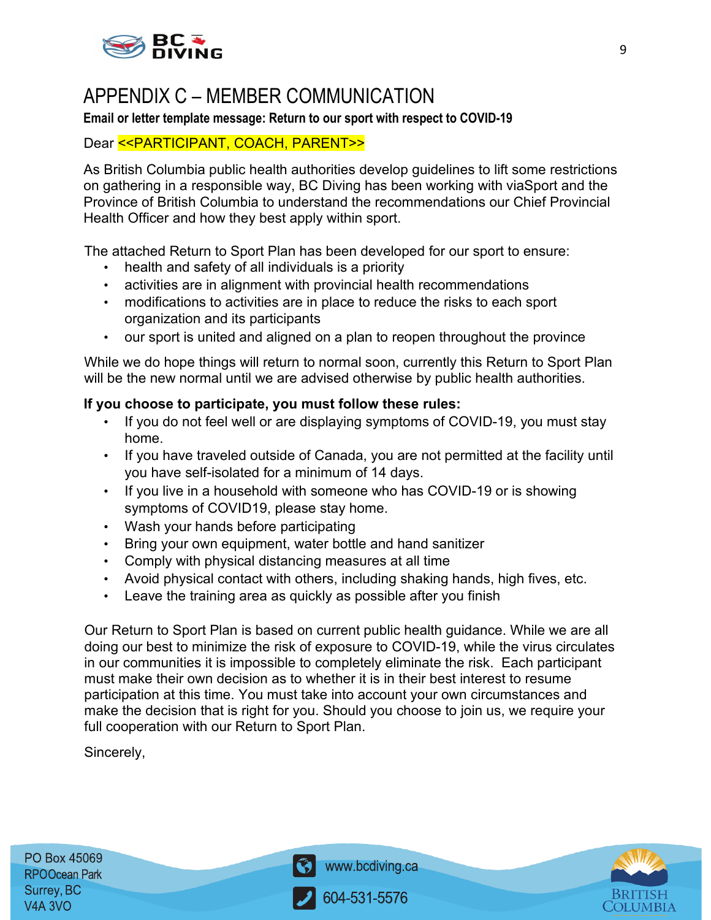

### APPENDIX C – MEMBER COMMUNICATION

#### **Email or letter template message: Return to our sport with respect to COVID-19**

### Dear << PARTICIPANT, COACH, PARENT>>

As British Columbia public health authorities develop guidelines to lift some restrictions on gathering in a responsible way, BC Diving has been working with viaSport and the Province of British Columbia to understand the recommendations our Chief Provincial Health Officer and how they best apply within sport.

The attached Return to Sport Plan has been developed for our sport to ensure:

- health and safety of all individuals is a priority
- activities are in alignment with provincial health recommendations
- modifications to activities are in place to reduce the risks to each sport organization and its participants
- our sport is united and aligned on a plan to reopen throughout the province

While we do hope things will return to normal soon, currently this Return to Sport Plan will be the new normal until we are advised otherwise by public health authorities.

#### **If you choose to participate, you must follow these rules:**

- If you do not feel well or are displaying symptoms of COVID-19, you must stay home.
- If you have traveled outside of Canada, you are not permitted at the facility until you have self-isolated for a minimum of 14 days.
- If you live in a household with someone who has COVID-19 or is showing symptoms of COVID19, please stay home.
- Wash your hands before participating
- Bring your own equipment, water bottle and hand sanitizer
- Comply with physical distancing measures at all time
- Avoid physical contact with others, including shaking hands, high fives, etc.
- Leave the training area as quickly as possible after you finish

Our Return to Sport Plan is based on current public health guidance. While we are all doing our best to minimize the risk of exposure to COVID-19, while the virus circulates in our communities it is impossible to completely eliminate the risk. Each participant must make their own decision as to whether it is in their best interest to resume participation at this time. You must take into account your own circumstances and make the decision that is right for you. Should you choose to join us, we require your full cooperation with our Return to Sport Plan.

Sincerely,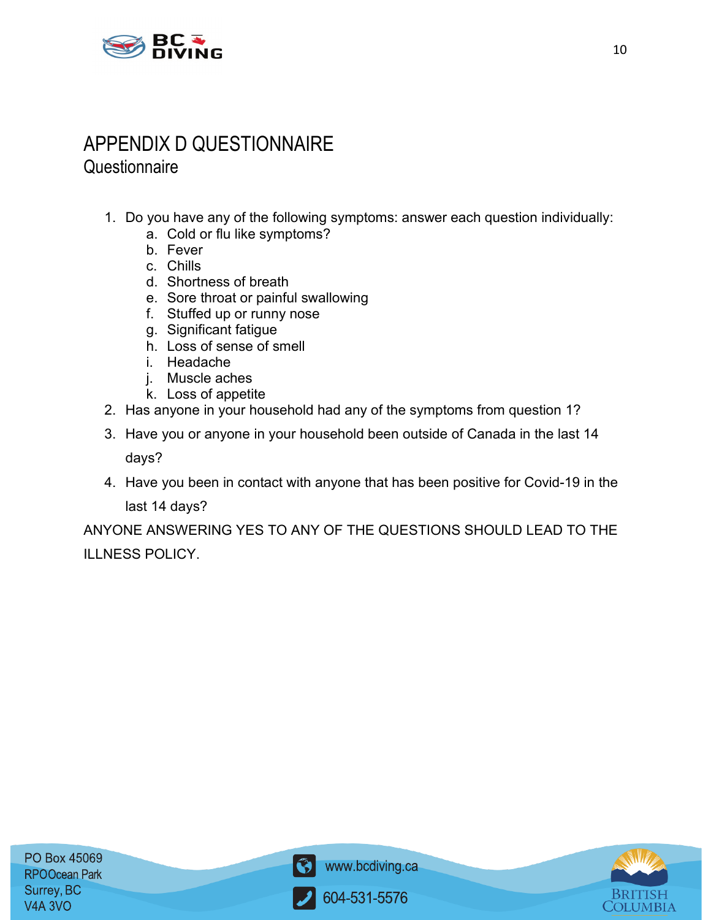

### APPENDIX D QUESTIONNAIRE **Questionnaire**

- 1. Do you have any of the following symptoms: answer each question individually:
	- a. Cold or flu like symptoms?
	- b. Fever
	- c. Chills
	- d. Shortness of breath
	- e. Sore throat or painful swallowing
	- f. Stuffed up or runny nose
	- g. Significant fatigue
	- h. Loss of sense of smell
	- i. Headache
	- j. Muscle aches
	- k. Loss of appetite
- 2. Has anyone in your household had any of the symptoms from question 1?
- 3. Have you or anyone in your household been outside of Canada in the last 14 days?
- 4. Have you been in contact with anyone that has been positive for Covid-19 in the

last 14 days?

ANYONE ANSWERING YES TO ANY OF THE QUESTIONS SHOULD LEAD TO THE ILLNESS POLICY.



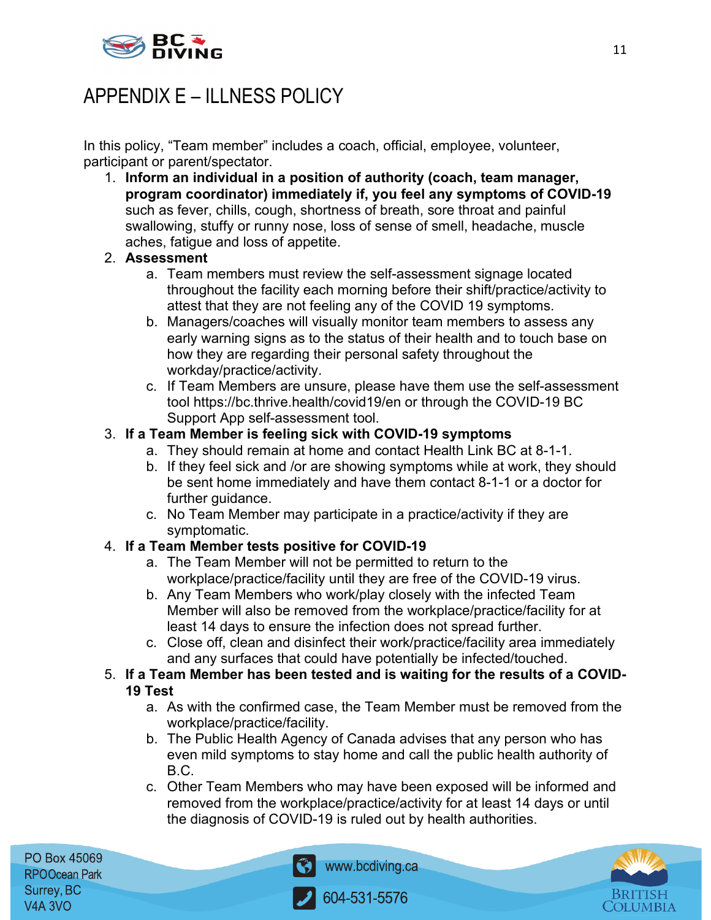

### APPENDIX E – ILLNESS POLICY

In this policy, "Team member" includes a coach, official, employee, volunteer, participant or parent/spectator.

1. **Inform an individual in a position of authority (coach, team manager, program coordinator) immediately if, you feel any symptoms of COVID-19** such as fever, chills, cough, shortness of breath, sore throat and painful swallowing, stuffy or runny nose, loss of sense of smell, headache, muscle aches, fatigue and loss of appetite.

### 2. **Assessment**

- a. Team members must review the self-assessment signage located throughout the facility each morning before their shift/practice/activity to attest that they are not feeling any of the COVID 19 symptoms.
- b. Managers/coaches will visually monitor team members to assess any early warning signs as to the status of their health and to touch base on how they are regarding their personal safety throughout the workday/practice/activity.
- c. If Team Members are unsure, please have them use the self-assessment tool https://bc.thrive.health/covid19/en or through the COVID-19 BC Support App self-assessment tool.

### 3. **If a Team Member is feeling sick with COVID-19 symptoms**

- a. They should remain at home and contact Health Link BC at 8-1-1.
- b. If they feel sick and /or are showing symptoms while at work, they should be sent home immediately and have them contact 8-1-1 or a doctor for further guidance.
- c. No Team Member may participate in a practice/activity if they are symptomatic.

### 4. **If a Team Member tests positive for COVID-19**

- a. The Team Member will not be permitted to return to the workplace/practice/facility until they are free of the COVID-19 virus.
- b. Any Team Members who work/play closely with the infected Team Member will also be removed from the workplace/practice/facility for at least 14 days to ensure the infection does not spread further.
- c. Close off, clean and disinfect their work/practice/facility area immediately and any surfaces that could have potentially be infected/touched.
- 5. **If a Team Member has been tested and is waiting for the results of a COVID-19 Test**
	- a. As with the confirmed case, the Team Member must be removed from the workplace/practice/facility.
	- b. The Public Health Agency of Canada advises that any person who has even mild symptoms to stay home and call the public health authority of B.C.
	- c. Other Team Members who may have been exposed will be informed and removed from the workplace/practice/activity for at least 14 days or until the diagnosis of COVID-19 is ruled out by health authorities.

PO Box 45069 **RPOOcean Park** Surrey, BC **V4A 3VO** 



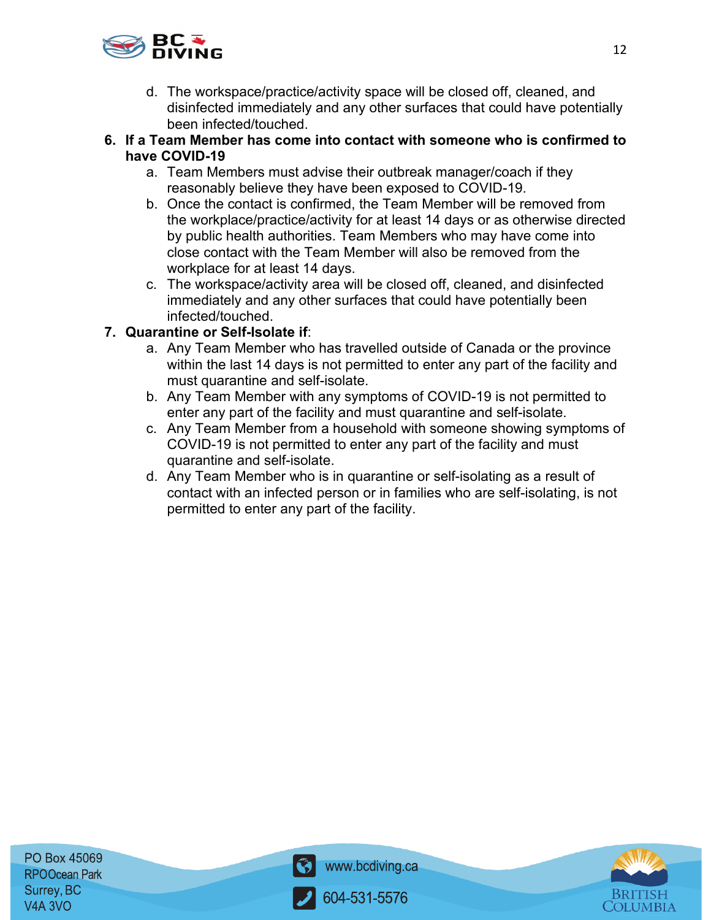

- d. The workspace/practice/activity space will be closed off, cleaned, and disinfected immediately and any other surfaces that could have potentially been infected/touched.
- **6. If a Team Member has come into contact with someone who is confirmed to have COVID-19**
	- a. Team Members must advise their outbreak manager/coach if they reasonably believe they have been exposed to COVID-19.
	- b. Once the contact is confirmed, the Team Member will be removed from the workplace/practice/activity for at least 14 days or as otherwise directed by public health authorities. Team Members who may have come into close contact with the Team Member will also be removed from the workplace for at least 14 days.
	- c. The workspace/activity area will be closed off, cleaned, and disinfected immediately and any other surfaces that could have potentially been infected/touched.

### **7. Quarantine or Self-Isolate if**:

- a. Any Team Member who has travelled outside of Canada or the province within the last 14 days is not permitted to enter any part of the facility and must quarantine and self-isolate.
- b. Any Team Member with any symptoms of COVID-19 is not permitted to enter any part of the facility and must quarantine and self-isolate.
- c. Any Team Member from a household with someone showing symptoms of COVID-19 is not permitted to enter any part of the facility and must quarantine and self-isolate.
- d. Any Team Member who is in quarantine or self-isolating as a result of contact with an infected person or in families who are self-isolating, is not permitted to enter any part of the facility.



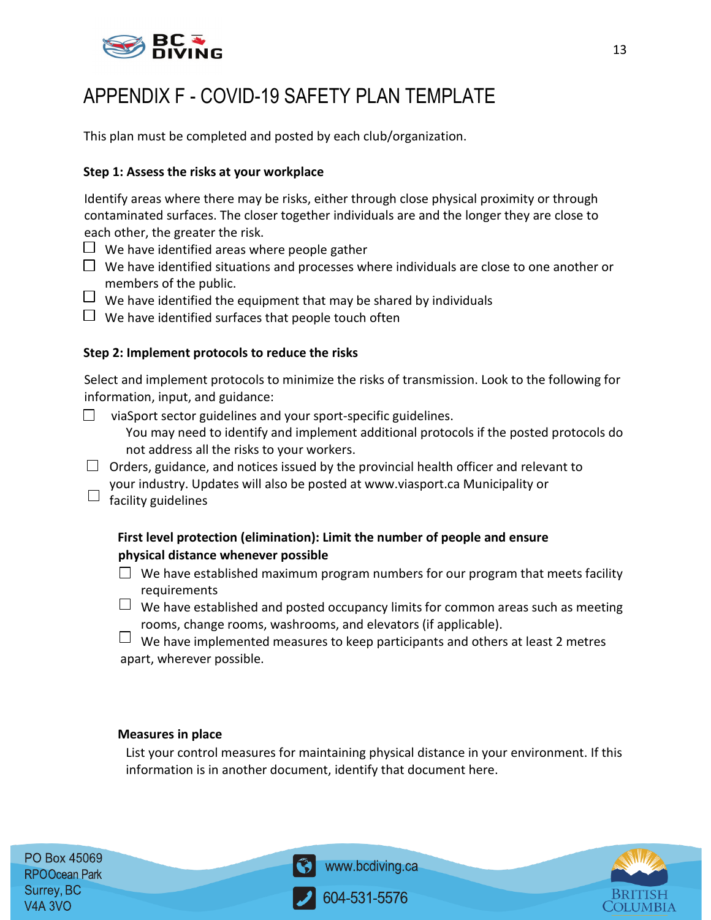

### APPENDIX F - COVID-19 SAFETY PLAN TEMPLATE

This plan must be completed and posted by each club/organization.

#### **Step 1: Assess the risks at your workplace**

Identify areas where there may be risks, either through close physical proximity or through contaminated surfaces. The closer together individuals are and the longer they are close to each other, the greater the risk.

- $\Box$  We have identified areas where people gather
- $\Box$  We have identified situations and processes where individuals are close to one another or members of the public.
- $\Box$  We have identified the equipment that may be shared by individuals
- $\Box$  We have identified surfaces that people touch often

#### **Step 2: Implement protocols to reduce the risks**

Select and implement protocols to minimize the risks of transmission. Look to the following for information, input, and guidance:

- viaSport sector guidelines and your sport-specific guidelines.  $\Box$ You may need to identify and implement additional protocols if the posted protocols do not address all the risks to your workers.
- $\Box$  Orders, guidance, and notices issued by the provincial health officer and relevant to your industry. Updates will also be posted at www.viasport.ca Municipality or
- $\Box$  facility guidelines

### **First level protection (elimination): Limit the number of people and ensure physical distance whenever possible**

- $\Box$  We have established maximum program numbers for our program that meets facility requirements
- $\Box$  We have established and posted occupancy limits for common areas such as meeting rooms, change rooms, washrooms, and elevators (if applicable).
- $\Box$  We have implemented measures to keep participants and others at least 2 metres apart, wherever possible.

#### **Measures in place**

List your control measures for maintaining physical distance in your environment. If this information is in another document, identify that document here.



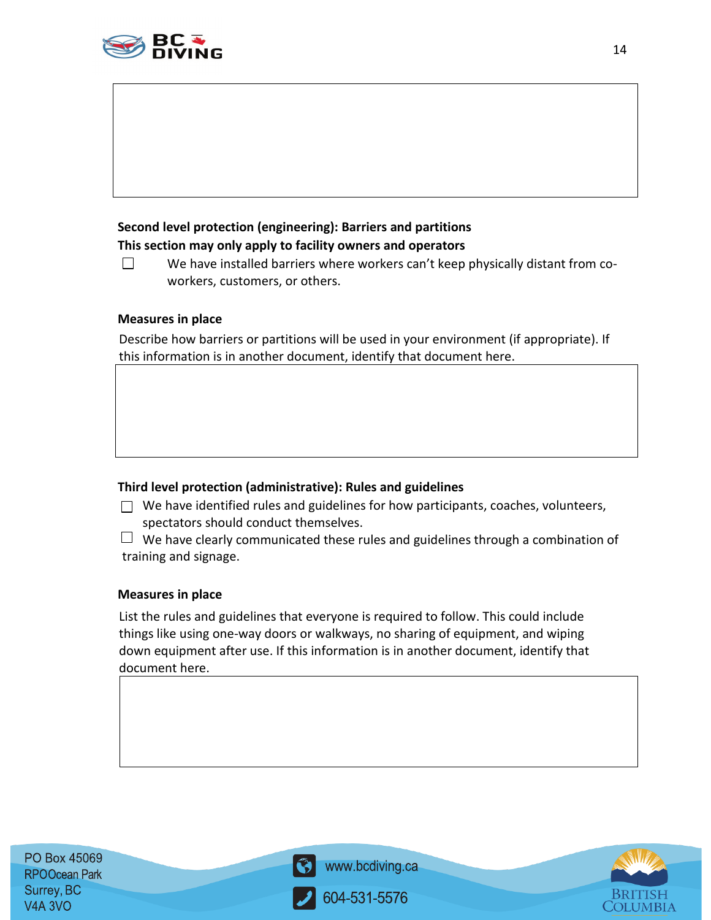

### **Second level protection (engineering): Barriers and partitions This section may only apply to facility owners and operators**

 $\Box$ We have installed barriers where workers can't keep physically distant from coworkers, customers, or others.

#### **Measures in place**

Describe how barriers or partitions will be used in your environment (if appropriate). If this information is in another document, identify that document here.

### **Third level protection (administrative): Rules and guidelines**

- $\Box$  We have identified rules and guidelines for how participants, coaches, volunteers, spectators should conduct themselves.
- $\Box$  We have clearly communicated these rules and guidelines through a combination of training and signage.

#### **Measures in place**

List the rules and guidelines that everyone is required to follow. This could include things like using one-way doors or walkways, no sharing of equipment, and wiping down equipment after use. If this information is in another document, identify that document here.

PO Box 45069 **RPOOcean Park** Surrey, BC V<sub>4</sub>A 3VO



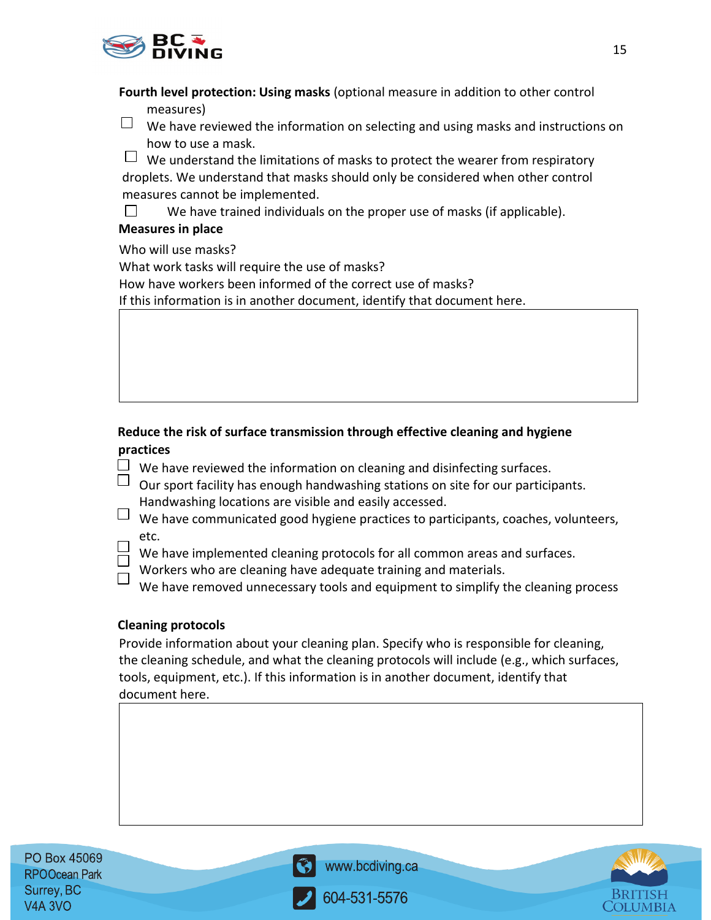

**Fourth level protection: Using masks** (optional measure in addition to other control

measures)

 $\Box$  We have reviewed the information on selecting and using masks and instructions on how to use a mask.

 $\Box$  We understand the limitations of masks to protect the wearer from respiratory droplets. We understand that masks should only be considered when other control measures cannot be implemented.

 $\Box$ We have trained individuals on the proper use of masks (if applicable).

### **Measures in place**

Who will use masks?

What work tasks will require the use of masks?

How have workers been informed of the correct use of masks?

If this information is in another document, identify that document here.

### **Reduce the risk of surface transmission through effective cleaning and hygiene practices**

- $\Box$  We have reviewed the information on cleaning and disinfecting surfaces.
- $\Box$  Our sport facility has enough handwashing stations on site for our participants. Handwashing locations are visible and easily accessed.
- $\Box$  We have communicated good hygiene practices to participants, coaches, volunteers, etc.
	- We have implemented cleaning protocols for all common areas and surfaces.
	- Workers who are cleaning have adequate training and materials.

We have removed unnecessary tools and equipment to simplify the cleaning process

### **Cleaning protocols**

Provide information about your cleaning plan. Specify who is responsible for cleaning, the cleaning schedule, and what the cleaning protocols will include (e.g., which surfaces, tools, equipment, etc.). If this information is in another document, identify that document here.

PO Box 45069 **RPOOcean Park** Surrey, BC **V4A 3VO** 



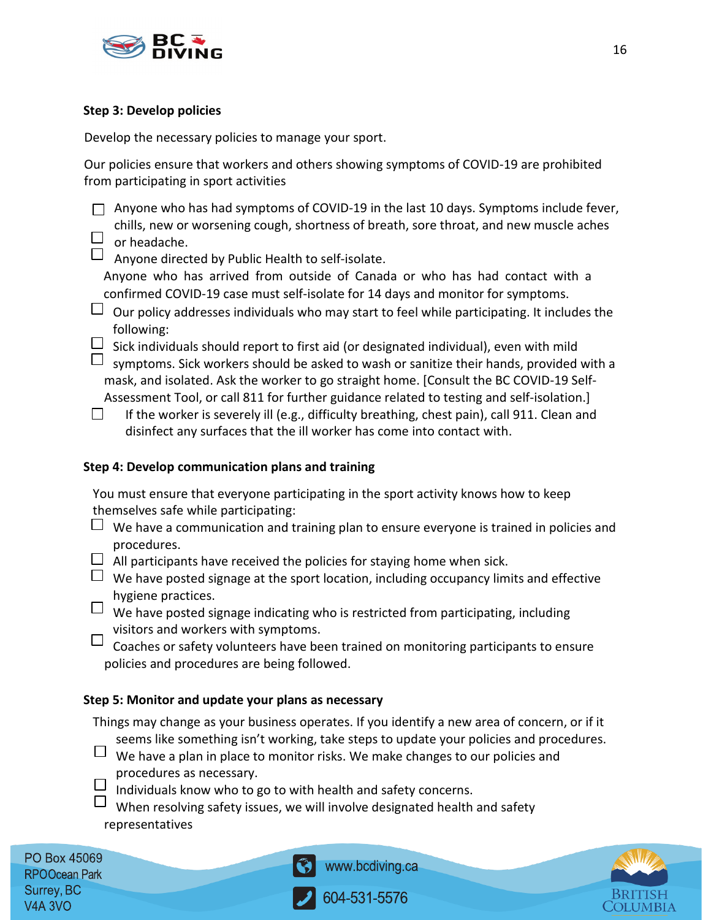

#### **Step 3: Develop policies**

Develop the necessary policies to manage your sport.

Our policies ensure that workers and others showing symptoms of COVID-19 are prohibited from participating in sport activities

 $\Box$  Anyone who has had symptoms of COVID-19 in the last 10 days. Symptoms include fever, chills, new or worsening cough, shortness of breath, sore throat, and new muscle aches  $\Box$  or headache.

 $\Box$  Anyone directed by Public Health to self-isolate.

Anyone who has arrived from outside of Canada or who has had contact with a confirmed COVID-19 case must self-isolate for 14 days and monitor for symptoms.

- $\Box$  Our policy addresses individuals who may start to feel while participating. It includes the following:
- $\Box$  Sick individuals should report to first aid (or designated individual), even with mild
- $\Box$  symptoms. Sick workers should be asked to wash or sanitize their hands, provided with a mask, and isolated. Ask the worker to go straight home. [Consult the BC COVID-19 Self-Assessment Tool, or call 811 for further guidance related to testing and self-isolation.]
- $\Box$ If the worker is severely ill (e.g., difficulty breathing, chest pain), call 911. Clean and disinfect any surfaces that the ill worker has come into contact with.

### **Step 4: Develop communication plans and training**

You must ensure that everyone participating in the sport activity knows how to keep themselves safe while participating:

- $\Box$  We have a communication and training plan to ensure everyone is trained in policies and procedures.
- $\Box$  All participants have received the policies for staying home when sick.
- $\Box$  We have posted signage at the sport location, including occupancy limits and effective hygiene practices.
- $\Box$  We have posted signage indicating who is restricted from participating, including visitors and workers with symptoms.

 $\Box$  Coaches or safety volunteers have been trained on monitoring participants to ensure policies and procedures are being followed.

### **Step 5: Monitor and update your plans as necessary**

Things may change as your business operates. If you identify a new area of concern, or if it seems like something isn't working, take steps to update your policies and procedures.

- $\Box$  We have a plan in place to monitor risks. We make changes to our policies and procedures as necessary.
- $\Box$ Individuals know who to go to with health and safety concerns.

 $\Box$ When resolving safety issues, we will involve designated health and safety representatives

PO Box 45069 **RPOOcean Park** Surrey, BC V4A 3VO



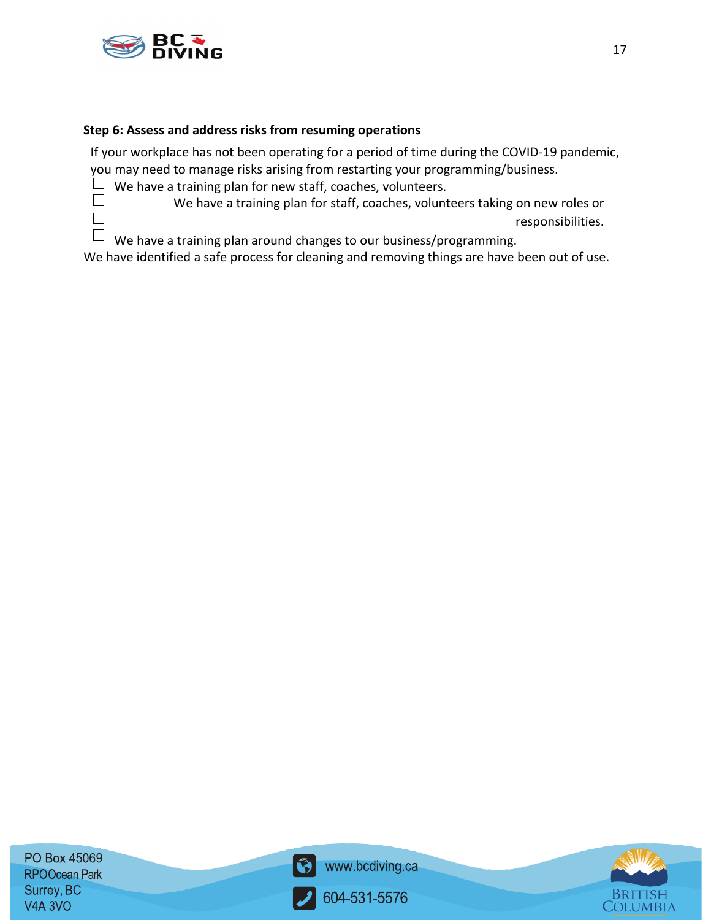

 $\Box$  $\Box$ 

#### **Step 6: Assess and address risks from resuming operations**

If your workplace has not been operating for a period of time during the COVID-19 pandemic, you may need to manage risks arising from restarting your programming/business.

 $\Box$  We have a training plan for new staff, coaches, volunteers.

We have a training plan for staff, coaches, volunteers taking on new roles or responsibilities.

 $\Box$ We have a training plan around changes to our business/programming.

We have identified a safe process for cleaning and removing things are have been out of use.

PO Box 45069 **RPOOcean Park** Surrey, BC V4A 3VO



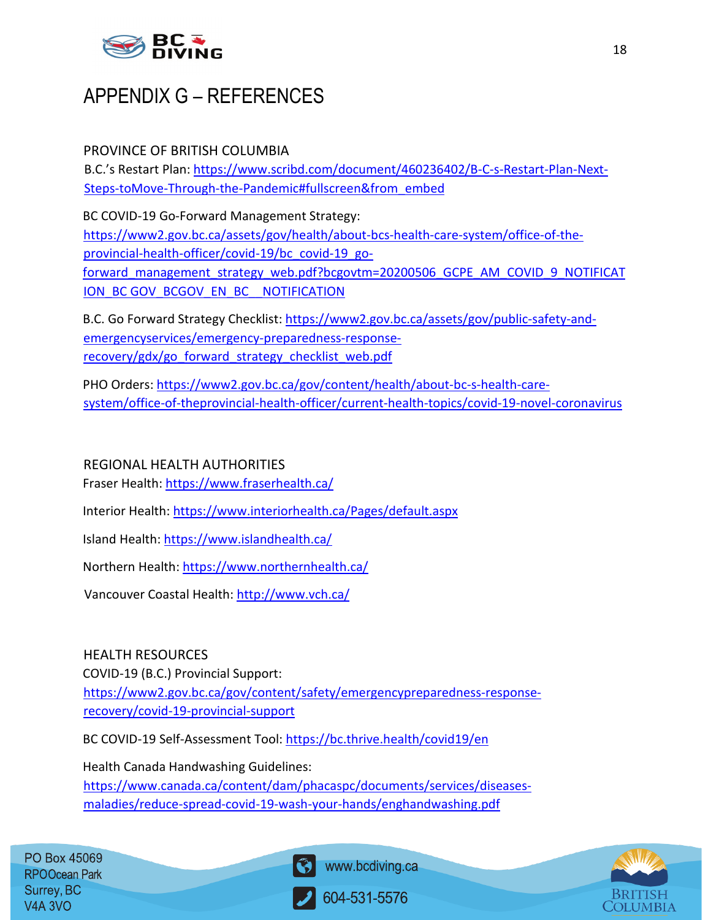

### APPENDIX G – REFERENCES

### PROVINCE OF BRITISH COLUMBIA

B.C.'s Restart Plan[: https://www.scribd.com/document/460236402/B-C-s-Restart-Plan-Next-](https://www.scribd.com/document/460236402/B-C-s-Restart-Plan-Next-Steps-to-Move-Through-the-Pandemic#fullscreen&from_embed)[Steps-toMove-Through-the-Pandemic#fullscreen&from\\_embed](https://www.scribd.com/document/460236402/B-C-s-Restart-Plan-Next-Steps-to-Move-Through-the-Pandemic#fullscreen&from_embed)

BC COVID-19 Go-Forward Management Strategy: [https://www2.gov.bc.ca/assets/gov/health/about-bcs-health-care-system/office-of-the](https://www2.gov.bc.ca/assets/gov/health/about-bc-s-health-care-system/office-of-the-provincial-health-officer/covid-19/bc_covid-19_go-forward_management_strategy_web.pdf?bcgovtm=20200506_GCPE_AM_COVID_9_NOTIFICATION_BCGOV_BCGOV_EN_BC__NOTIFICATION)[provincial-health-officer/covid-19/bc\\_covid-19\\_go](https://www2.gov.bc.ca/assets/gov/health/about-bc-s-health-care-system/office-of-the-provincial-health-officer/covid-19/bc_covid-19_go-forward_management_strategy_web.pdf?bcgovtm=20200506_GCPE_AM_COVID_9_NOTIFICATION_BCGOV_BCGOV_EN_BC__NOTIFICATION)[forward\\_management\\_strategy\\_web.pdf?bcgovtm=20200506\\_GCPE\\_AM\\_COVID\\_9\\_NOTIFICAT](https://www2.gov.bc.ca/assets/gov/health/about-bc-s-health-care-system/office-of-the-provincial-health-officer/covid-19/bc_covid-19_go-forward_management_strategy_web.pdf?bcgovtm=20200506_GCPE_AM_COVID_9_NOTIFICATION_BCGOV_BCGOV_EN_BC__NOTIFICATION) [ION\\_BC GOV\\_BCGOV\\_EN\\_BC\\_\\_NOTIFICATION](https://www2.gov.bc.ca/assets/gov/health/about-bc-s-health-care-system/office-of-the-provincial-health-officer/covid-19/bc_covid-19_go-forward_management_strategy_web.pdf?bcgovtm=20200506_GCPE_AM_COVID_9_NOTIFICATION_BCGOV_BCGOV_EN_BC__NOTIFICATION)

B.C. Go Forward Strategy Checklist: [https://www2.gov.bc.ca/assets/gov/public-safety-and](https://www2.gov.bc.ca/assets/gov/public-safety-and-emergency-services/emergency-preparedness-response-recovery/gdx/go_forward_strategy_checklist_web.pdf)[emergencyservices/emergency-preparedness-response](https://www2.gov.bc.ca/assets/gov/public-safety-and-emergency-services/emergency-preparedness-response-recovery/gdx/go_forward_strategy_checklist_web.pdf)[recovery/gdx/go\\_forward\\_strategy\\_checklist\\_web.pdf](https://www2.gov.bc.ca/assets/gov/public-safety-and-emergency-services/emergency-preparedness-response-recovery/gdx/go_forward_strategy_checklist_web.pdf)

PHO Orders: [https://www2.gov.bc.ca/gov/content/health/about-bc-s-health-care](https://www2.gov.bc.ca/gov/content/health/about-bc-s-health-care-system/office-of-the-provincial-health-officer/current-health-topics/covid-19-novel-coronavirus)[system/office-of-theprovincial-health-officer/current-health-topics/covid-19-novel-coronavirus](https://www2.gov.bc.ca/gov/content/health/about-bc-s-health-care-system/office-of-the-provincial-health-officer/current-health-topics/covid-19-novel-coronavirus)

### REGIONAL HEALTH AUTHORITIES

Fraser Health[: https://www.fraserhealth.ca/](https://www.fraserhealth.ca/)

Interior Health:<https://www.interiorhealth.ca/Pages/default.aspx>

Island Health:<https://www.islandhealth.ca/>

Northern Health:<https://www.northernhealth.ca/>

Vancouver Coastal Health:<http://www.vch.ca/>

### HEALTH RESOURCES

COVID-19 (B.C.) Provincial Support:

[https://www2.gov.bc.ca/gov/content/safety/emergencypreparedness-response](https://www2.gov.bc.ca/gov/content/safety/emergency-preparedness-response-recovery/covid-19-provincial-support)[recovery/covid-19-provincial-support](https://www2.gov.bc.ca/gov/content/safety/emergency-preparedness-response-recovery/covid-19-provincial-support)

BC COVID-19 Self-Assessment Tool:<https://bc.thrive.health/covid19/en>

Health Canada Handwashing Guidelines: [https://www.canada.ca/content/dam/phacaspc/documents/services/diseases](https://www.canada.ca/content/dam/phac-aspc/documents/services/diseases-maladies/reduce-spread-covid-19-wash-your-hands/eng-handwashing.pdf)[maladies/reduce-spread-covid-19-wash-your-hands/enghandwashing.pdf](https://www.canada.ca/content/dam/phac-aspc/documents/services/diseases-maladies/reduce-spread-covid-19-wash-your-hands/eng-handwashing.pdf)

PO Box 45069 **RPOOcean Park** Surrey, BC **V4A 3VO** 



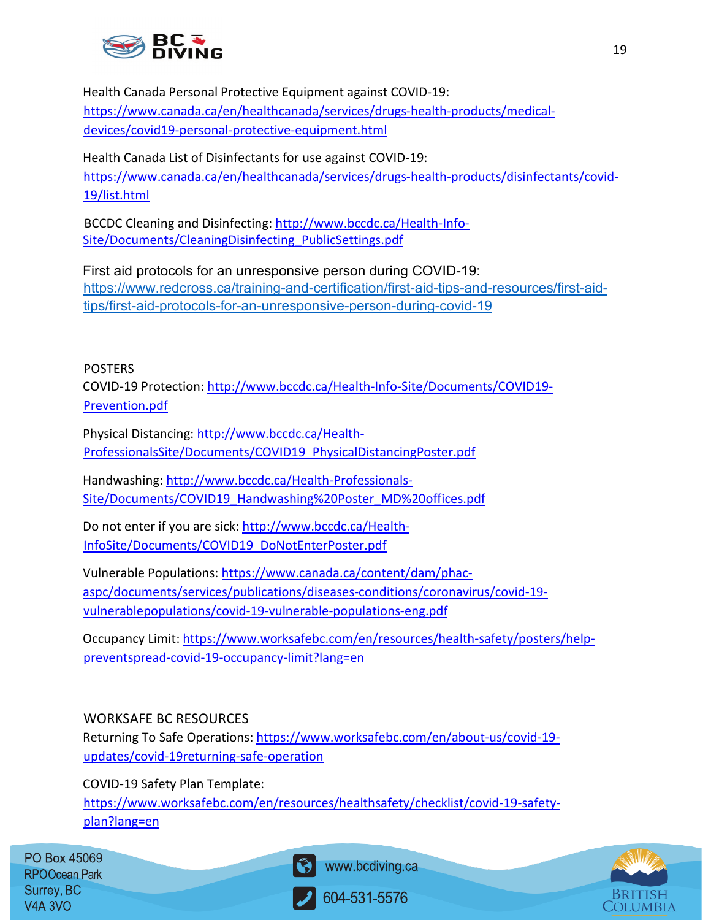

Health Canada Personal Protective Equipment against COVID-19: [https://www.canada.ca/en/healthcanada/services/drugs-health-products/medical](https://www.canada.ca/en/health-canada/services/drugs-health-products/medical-devices/covid19-personal-protective-equipment.html)[devices/covid19-personal-protective-equipment.html](https://www.canada.ca/en/health-canada/services/drugs-health-products/medical-devices/covid19-personal-protective-equipment.html)

Health Canada List of Disinfectants for use against COVID-19: [https://www.canada.ca/en/healthcanada/services/drugs-health-products/disinfectants/covid-](https://www.canada.ca/en/health-canada/services/drugs-health-products/disinfectants/covid-19/list.html)[19/list.html](https://www.canada.ca/en/health-canada/services/drugs-health-products/disinfectants/covid-19/list.html)

BCCDC Cleaning and Disinfecting: [http://www.bccdc.ca/Health-Info-](http://www.bccdc.ca/Health-Info-Site/Documents/CleaningDisinfecting_PublicSettings.pdf)[Site/Documents/CleaningDisinfecting\\_PublicSettings.pdf](http://www.bccdc.ca/Health-Info-Site/Documents/CleaningDisinfecting_PublicSettings.pdf)

First aid protocols for an unresponsive person during COVID-19: [https://www.redcross.ca/training-and-certification/first-aid-tips-and-resources/first-aid](https://www.redcross.ca/training-and-certification/first-aid-tips-and-resources/first-aid-tips/first-aid-protocols-for-an-unresponsive-person-during-covid-19)[tips/first-aid-protocols-for-an-unresponsive-person-during-covid-19](https://www.redcross.ca/training-and-certification/first-aid-tips-and-resources/first-aid-tips/first-aid-protocols-for-an-unresponsive-person-during-covid-19)

### POSTERS

COVID-19 Protection[: http://www.bccdc.ca/Health-Info-Site/Documents/COVID19-](http://www.bccdc.ca/Health-Info-Site/Documents/COVID19-Prevention.pdf) [Prevention.pdf](http://www.bccdc.ca/Health-Info-Site/Documents/COVID19-Prevention.pdf)

Physical Distancing[: http://www.bccdc.ca/Health-](http://www.bccdc.ca/Health-Professionals-Site/Documents/COVID19_PhysicalDistancingPoster.pdf)[ProfessionalsSite/Documents/COVID19\\_PhysicalDistancingPoster.pdf](http://www.bccdc.ca/Health-Professionals-Site/Documents/COVID19_PhysicalDistancingPoster.pdf)

Handwashing: [http://www.bccdc.ca/Health-Professionals-](http://www.bccdc.ca/Health-Professionals-Site/Documents/COVID19_Handwashing%20Poster_MD%20offices.pdf)[Site/Documents/COVID19\\_Handwashing%20Poster\\_MD%20offices.pdf](http://www.bccdc.ca/Health-Professionals-Site/Documents/COVID19_Handwashing%20Poster_MD%20offices.pdf)

Do not enter if you are sick[: http://www.bccdc.ca/Health-](http://www.bccdc.ca/Health-Info-Site/Documents/COVID19_DoNotEnterPoster.pdf)[InfoSite/Documents/COVID19\\_DoNotEnterPoster.pdf](http://www.bccdc.ca/Health-Info-Site/Documents/COVID19_DoNotEnterPoster.pdf)

Vulnerable Populations: [https://www.canada.ca/content/dam/phac](https://www.canada.ca/content/dam/phac-aspc/documents/services/publications/diseases-conditions/coronavirus/covid-19-vulnerable-populations/covid-19-vulnerable-populations-eng.pdf)[aspc/documents/services/publications/diseases-conditions/coronavirus/covid-19](https://www.canada.ca/content/dam/phac-aspc/documents/services/publications/diseases-conditions/coronavirus/covid-19-vulnerable-populations/covid-19-vulnerable-populations-eng.pdf) [vulnerablepopulations/covid-19-vulnerable-populations-eng.pdf](https://www.canada.ca/content/dam/phac-aspc/documents/services/publications/diseases-conditions/coronavirus/covid-19-vulnerable-populations/covid-19-vulnerable-populations-eng.pdf)

Occupancy Limit: [https://www.worksafebc.com/en/resources/health-safety/posters/help](https://www.worksafebc.com/en/resources/health-safety/posters/help-prevent-spread-covid-19-occupancy-limit?lang=en)[preventspread-covid-19-occupancy-limit?lang=en](https://www.worksafebc.com/en/resources/health-safety/posters/help-prevent-spread-covid-19-occupancy-limit?lang=en)

### WORKSAFE BC RESOURCES

Returning To Safe Operations[: https://www.worksafebc.com/en/about-us/covid-19](https://www.worksafebc.com/en/about-us/covid-19-updates/covid-19-returning-safe-operation) [updates/covid-19returning-safe-operation](https://www.worksafebc.com/en/about-us/covid-19-updates/covid-19-returning-safe-operation)

COVID-19 Safety Plan Template: [https://www.worksafebc.com/en/resources/healthsafety/checklist/covid-19-safety](https://www.worksafebc.com/en/resources/health-safety/checklist/covid-19-safety-plan?lang=en)[plan?lang=en](https://www.worksafebc.com/en/resources/health-safety/checklist/covid-19-safety-plan?lang=en)

PO Box 45069 **RPOOcean Park** Surrey, BC **V4A 3VO**